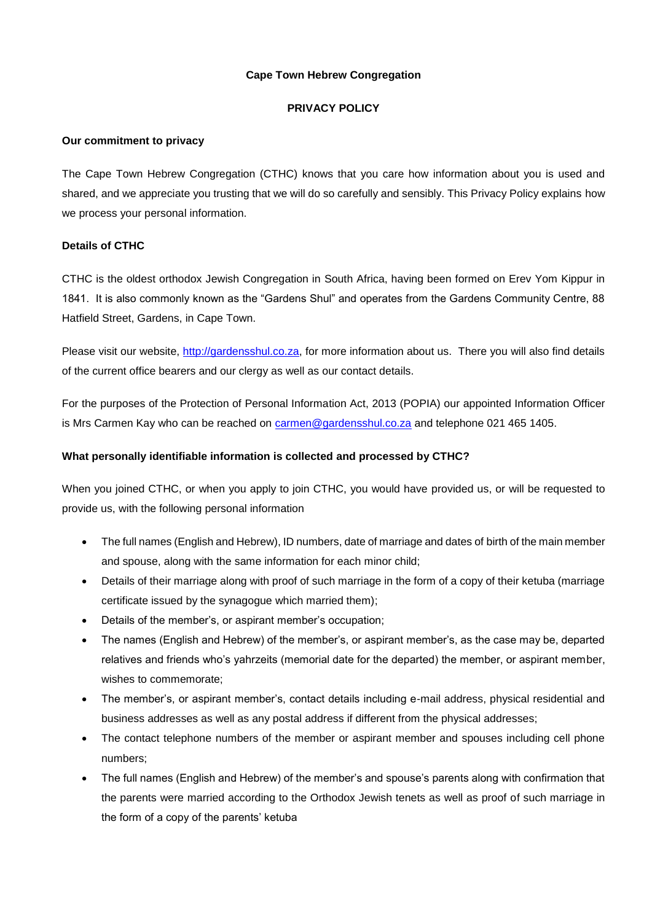# **Cape Town Hebrew Congregation**

# **PRIVACY POLICY**

## **Our commitment to privacy**

The Cape Town Hebrew Congregation (CTHC) knows that you care how information about you is used and shared, and we appreciate you trusting that we will do so carefully and sensibly. This Privacy Policy explains how we process your personal information.

# **Details of CTHC**

CTHC is the oldest orthodox Jewish Congregation in South Africa, having been formed on Erev Yom Kippur in 1841. It is also commonly known as the "Gardens Shul" and operates from the Gardens Community Centre, 88 Hatfield Street, Gardens, in Cape Town.

Please visit our website, [http://gardensshul.co.za,](http://gardensshul.co.za/) for more information about us. There you will also find details of the current office bearers and our clergy as well as our contact details.

For the purposes of the Protection of Personal Information Act, 2013 (POPIA) our appointed Information Officer is Mrs Carmen Kay who can be reached on [carmen@gardensshul.co.za](mailto:carmen@gardensshul.co.za) and telephone 021 465 1405.

# **What personally identifiable information is collected and processed by CTHC?**

When you joined CTHC, or when you apply to join CTHC, you would have provided us, or will be requested to provide us, with the following personal information

- The full names (English and Hebrew), ID numbers, date of marriage and dates of birth of the main member and spouse, along with the same information for each minor child;
- Details of their marriage along with proof of such marriage in the form of a copy of their ketuba (marriage certificate issued by the synagogue which married them);
- Details of the member's, or aspirant member's occupation;
- The names (English and Hebrew) of the member's, or aspirant member's, as the case may be, departed relatives and friends who's yahrzeits (memorial date for the departed) the member, or aspirant member, wishes to commemorate;
- The member's, or aspirant member's, contact details including e-mail address, physical residential and business addresses as well as any postal address if different from the physical addresses;
- The contact telephone numbers of the member or aspirant member and spouses including cell phone numbers;
- The full names (English and Hebrew) of the member's and spouse's parents along with confirmation that the parents were married according to the Orthodox Jewish tenets as well as proof of such marriage in the form of a copy of the parents' ketuba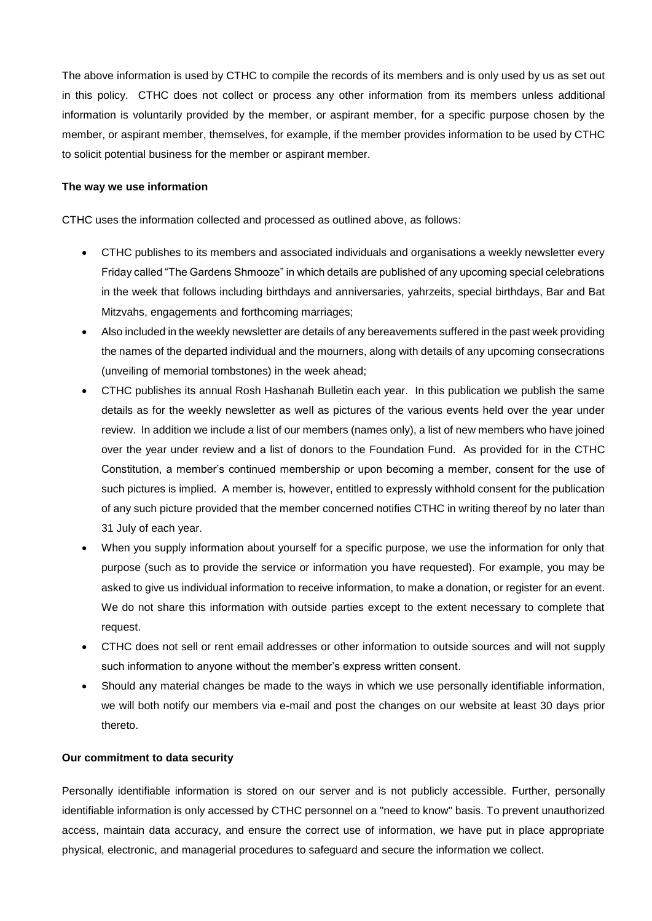The above information is used by CTHC to compile the records of its members and is only used by us as set out in this policy. CTHC does not collect or process any other information from its members unless additional information is voluntarily provided by the member, or aspirant member, for a specific purpose chosen by the member, or aspirant member, themselves, for example, if the member provides information to be used by CTHC to solicit potential business for the member or aspirant member.

#### **The way we use information**

CTHC uses the information collected and processed as outlined above, as follows:

- CTHC publishes to its members and associated individuals and organisations a weekly newsletter every Friday called "The Gardens Shmooze" in which details are published of any upcoming special celebrations in the week that follows including birthdays and anniversaries, yahrzeits, special birthdays, Bar and Bat Mitzvahs, engagements and forthcoming marriages;
- Also included in the weekly newsletter are details of any bereavements suffered in the past week providing the names of the departed individual and the mourners, along with details of any upcoming consecrations (unveiling of memorial tombstones) in the week ahead;
- CTHC publishes its annual Rosh Hashanah Bulletin each year. In this publication we publish the same details as for the weekly newsletter as well as pictures of the various events held over the year under review. In addition we include a list of our members (names only), a list of new members who have joined over the year under review and a list of donors to the Foundation Fund. As provided for in the CTHC Constitution, a member's continued membership or upon becoming a member, consent for the use of such pictures is implied. A member is, however, entitled to expressly withhold consent for the publication of any such picture provided that the member concerned notifies CTHC in writing thereof by no later than 31 July of each year.
- When you supply information about yourself for a specific purpose, we use the information for only that purpose (such as to provide the service or information you have requested). For example, you may be asked to give us individual information to receive information, to make a donation, or register for an event. We do not share this information with outside parties except to the extent necessary to complete that request.
- CTHC does not sell or rent email addresses or other information to outside sources and will not supply such information to anyone without the member's express written consent.
- Should any material changes be made to the ways in which we use personally identifiable information, we will both notify our members via e-mail and post the changes on our website at least 30 days prior thereto.

#### **Our commitment to data security**

Personally identifiable information is stored on our server and is not publicly accessible. Further, personally identifiable information is only accessed by CTHC personnel on a "need to know" basis. To prevent unauthorized access, maintain data accuracy, and ensure the correct use of information, we have put in place appropriate physical, electronic, and managerial procedures to safeguard and secure the information we collect.